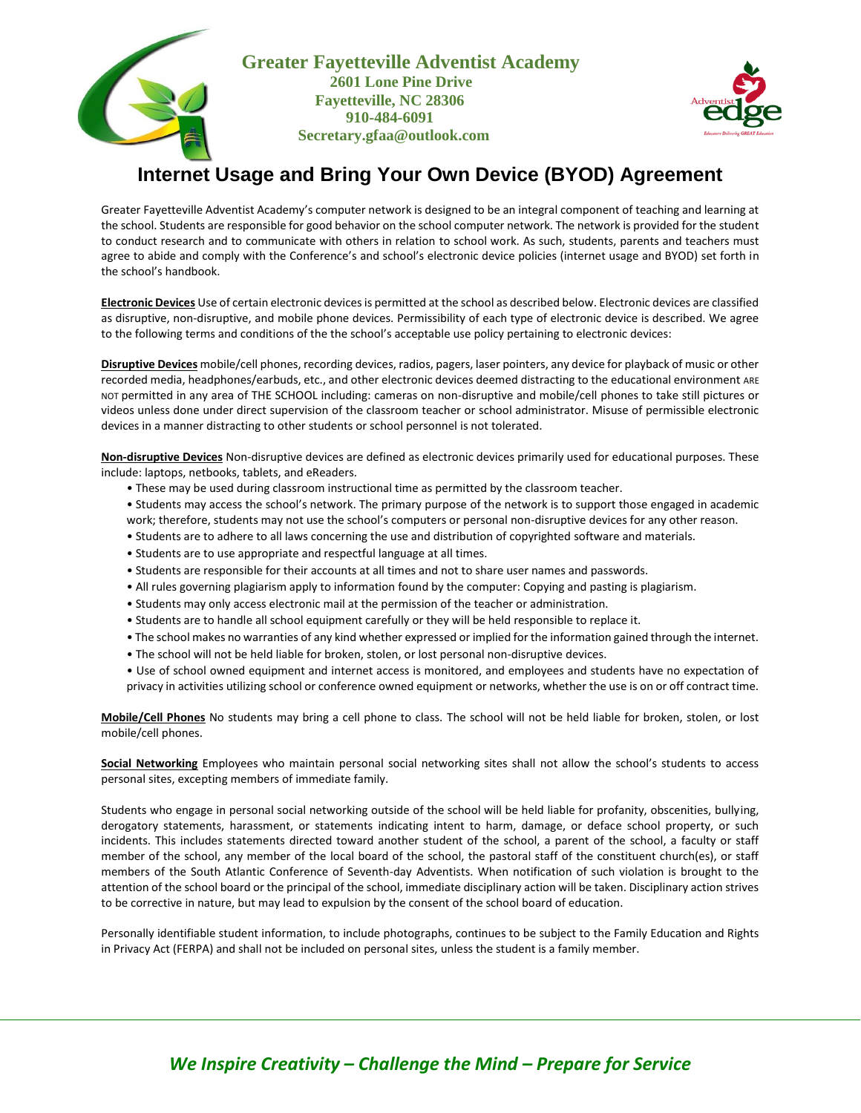



## **Internet Usage and Bring Your Own Device (BYOD) Agreement**

Greater Fayetteville Adventist Academy's computer network is designed to be an integral component of teaching and learning at the school. Students are responsible for good behavior on the school computer network. The network is provided for the student to conduct research and to communicate with others in relation to school work. As such, students, parents and teachers must agree to abide and comply with the Conference's and school's electronic device policies (internet usage and BYOD) set forth in the school's handbook.

**Electronic Devices** Use of certain electronic devices is permitted at the school as described below. Electronic devices are classified as disruptive, non-disruptive, and mobile phone devices. Permissibility of each type of electronic device is described. We agree to the following terms and conditions of the the school's acceptable use policy pertaining to electronic devices:

**Disruptive Devices** mobile/cell phones, recording devices, radios, pagers, laser pointers, any device for playback of music or other recorded media, headphones/earbuds, etc., and other electronic devices deemed distracting to the educational environment ARE NOT permitted in any area of THE SCHOOL including: cameras on non-disruptive and mobile/cell phones to take still pictures or videos unless done under direct supervision of the classroom teacher or school administrator. Misuse of permissible electronic devices in a manner distracting to other students or school personnel is not tolerated.

**Non-disruptive Devices** Non-disruptive devices are defined as electronic devices primarily used for educational purposes. These include: laptops, netbooks, tablets, and eReaders.

- These may be used during classroom instructional time as permitted by the classroom teacher.
- Students may access the school's network. The primary purpose of the network is to support those engaged in academic work; therefore, students may not use the school's computers or personal non-disruptive devices for any other reason.
- Students are to adhere to all laws concerning the use and distribution of copyrighted software and materials.
- Students are to use appropriate and respectful language at all times.
- Students are responsible for their accounts at all times and not to share user names and passwords.
- All rules governing plagiarism apply to information found by the computer: Copying and pasting is plagiarism.
- Students may only access electronic mail at the permission of the teacher or administration.
- Students are to handle all school equipment carefully or they will be held responsible to replace it.
- The school makes no warranties of any kind whether expressed or implied for the information gained through the internet.
- The school will not be held liable for broken, stolen, or lost personal non-disruptive devices.
- Use of school owned equipment and internet access is monitored, and employees and students have no expectation of privacy in activities utilizing school or conference owned equipment or networks, whether the use is on or off contract time.

**Mobile/Cell Phones** No students may bring a cell phone to class. The school will not be held liable for broken, stolen, or lost mobile/cell phones.

**Social Networking** Employees who maintain personal social networking sites shall not allow the school's students to access personal sites, excepting members of immediate family.

Students who engage in personal social networking outside of the school will be held liable for profanity, obscenities, bullying, derogatory statements, harassment, or statements indicating intent to harm, damage, or deface school property, or such incidents. This includes statements directed toward another student of the school, a parent of the school, a faculty or staff member of the school, any member of the local board of the school, the pastoral staff of the constituent church(es), or staff members of the South Atlantic Conference of Seventh-day Adventists. When notification of such violation is brought to the attention of the school board or the principal of the school, immediate disciplinary action will be taken. Disciplinary action strives to be corrective in nature, but may lead to expulsion by the consent of the school board of education.

Personally identifiable student information, to include photographs, continues to be subject to the Family Education and Rights in Privacy Act (FERPA) and shall not be included on personal sites, unless the student is a family member.

## *We Inspire Creativity – Challenge the Mind – Prepare for Service*